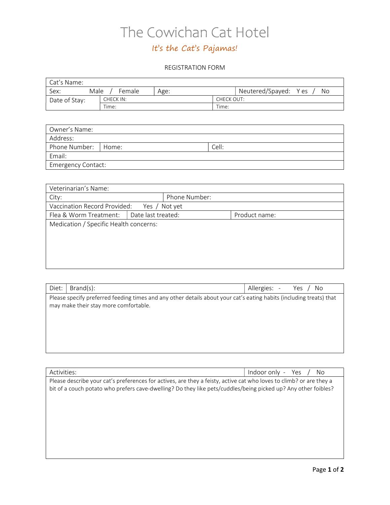# The Cowichan Cat Hotel

### It's the Cat's Pajamas!

#### REGISTRATION FORM

| <sup>1</sup> Cat's Name: |                |      |            |                                |
|--------------------------|----------------|------|------------|--------------------------------|
| Sex:                     | Male<br>Female | Age: |            | Neutered/Spayed:<br>Y es<br>No |
| Date of Stay:            | CHECK IN:      |      | CHECK OUT: |                                |
|                          | Time:          |      |            |                                |

| Owner's Name:             |  |       |
|---------------------------|--|-------|
| Address:                  |  |       |
| Phone Number:   Home:     |  | Cell: |
| Email:                    |  |       |
| <b>Emergency Contact:</b> |  |       |

| Veterinarian's Name:                   |                    |               |               |  |
|----------------------------------------|--------------------|---------------|---------------|--|
| City:                                  |                    | Phone Number: |               |  |
| Vaccination Record Provided:           |                    | Yes / Not yet |               |  |
| Flea & Worm Treatment:                 | Date last treated: |               | Product name: |  |
| Medication / Specific Health concerns: |                    |               |               |  |
|                                        |                    |               |               |  |
|                                        |                    |               |               |  |
|                                        |                    |               |               |  |
|                                        |                    |               |               |  |
|                                        |                    |               |               |  |

| Diet:                                                                                                                                                        | Brand(s): | Allergies: -<br>No<br>Yes $/$ |  |
|--------------------------------------------------------------------------------------------------------------------------------------------------------------|-----------|-------------------------------|--|
| Please specify preferred feeding times and any other details about your cat's eating habits (including treats) that<br>may make their stay more comfortable. |           |                               |  |
|                                                                                                                                                              |           |                               |  |
|                                                                                                                                                              |           |                               |  |
|                                                                                                                                                              |           |                               |  |
|                                                                                                                                                              |           |                               |  |

| Activities:                                                                                                         | Indoor only - Yes<br>No. |
|---------------------------------------------------------------------------------------------------------------------|--------------------------|
| Please describe your cat's preferences for actives, are they a feisty, active cat who loves to climb? or are they a |                          |
| bit of a couch potato who prefers cave-dwelling? Do they like pets/cuddles/being picked up? Any other foibles?      |                          |
|                                                                                                                     |                          |
|                                                                                                                     |                          |
|                                                                                                                     |                          |
|                                                                                                                     |                          |
|                                                                                                                     |                          |
|                                                                                                                     |                          |